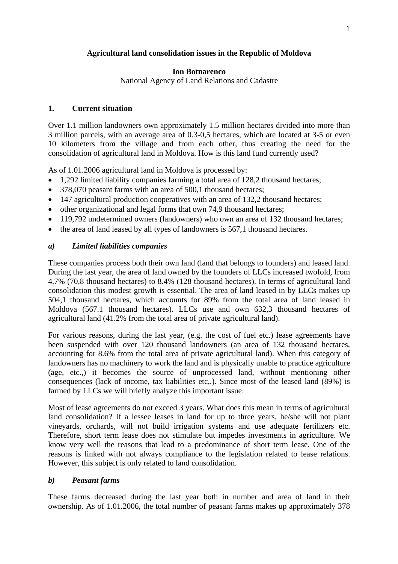### **Agricultural land consolidation issues in the Republic of Moldova**

#### **Ion Botnarenco**

National Agency of Land Relations and Cadastre

#### **1. Current situation**

Over 1.1 million landowners own approximately 1.5 million hectares divided into more than 3 million parcels, with an average area of 0.3-0,5 hectares, which are located at 3-5 or even 10 kilometers from the village and from each other, thus creating the need for the consolidation of agricultural land in Moldova. How is this land fund currently used?

As of 1.01.2006 agricultural land in Moldova is processed by:

- 1.292 limited liability companies farming a total area of 128.2 thousand hectares;
- 378,070 peasant farms with an area of 500,1 thousand hectares;
- 147 agricultural production cooperatives with an area of 132,2 thousand hectares;
- other organizational and legal forms that own 74,9 thousand hectares;
- 119,792 undetermined owners (landowners) who own an area of 132 thousand hectares;
- the area of land leased by all types of landowners is 567,1 thousand hectares.

# *a) Limited liabilities companies*

These companies process both their own land (land that belongs to founders) and leased land. During the last year, the area of land owned by the founders of LLCs increased twofold, from 4,7% (70,8 thousand hectares) to 8.4% (128 thousand hectares). In terms of agricultural land consolidation this modest growth is essential. The area of land leased in by LLCs makes up 504,1 thousand hectares, which accounts for 89% from the total area of land leased in Moldova (567.1 thousand hectares). LLCs use and own 632,3 thousand hectares of agricultural land (41.2% from the total area of private agricultural land).

For various reasons, during the last year, (e.g. the cost of fuel etc.) lease agreements have been suspended with over 120 thousand landowners (an area of 132 thousand hectares, accounting for 8.6% from the total area of private agricultural land). When this category of landowners has no machinery to work the land and is physically unable to practice agriculture (age, etc.,) it becomes the source of unprocessed land, without mentioning other consequences (lack of income, tax liabilities etc,.). Since most of the leased land (89%) is farmed by LLCs we will briefly analyze this important issue.

Most of lease agreements do not exceed 3 years. What does this mean in terms of agricultural land consolidation? If a lessee leases in land for up to three years, he/she will not plant vineyards, orchards, will not build irrigation systems and use adequate fertilizers etc. Therefore, short term lease does not stimulate but impedes investments in agriculture. We know very well the reasons that lead to a predominance of short term lease. One of the reasons is linked with not always compliance to the legislation related to lease relations. However, this subject is only related to land consolidation.

# *b) Peasant farms*

These farms decreased during the last year both in number and area of land in their ownership. As of 1.01.2006, the total number of peasant farms makes up approximately 378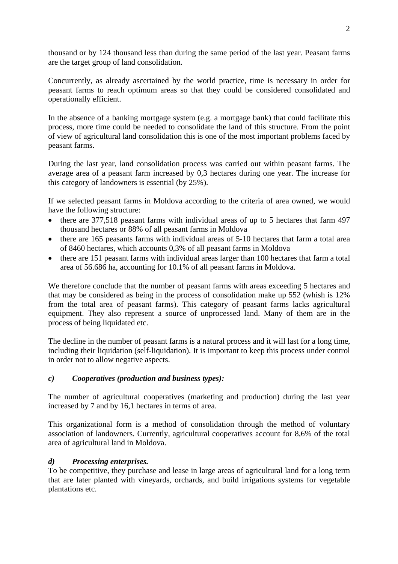thousand or by 124 thousand less than during the same period of the last year. Peasant farms are the target group of land consolidation.

Concurrently, as already ascertained by the world practice, time is necessary in order for peasant farms to reach optimum areas so that they could be considered consolidated and operationally efficient.

In the absence of a banking mortgage system (e.g. a mortgage bank) that could facilitate this process, more time could be needed to consolidate the land of this structure. From the point of view of agricultural land consolidation this is one of the most important problems faced by peasant farms.

During the last year, land consolidation process was carried out within peasant farms. The average area of a peasant farm increased by 0,3 hectares during one year. The increase for this category of landowners is essential (by 25%).

If we selected peasant farms in Moldova according to the criteria of area owned, we would have the following structure:

- there are 377,518 peasant farms with individual areas of up to 5 hectares that farm 497 thousand hectares or 88% of all peasant farms in Moldova
- there are 165 peasants farms with individual areas of 5-10 hectares that farm a total area of 8460 hectares, which accounts 0,3% of all peasant farms in Moldova
- there are 151 peasant farms with individual areas larger than 100 hectares that farm a total area of 56.686 ha, accounting for 10.1% of all peasant farms in Moldova.

We therefore conclude that the number of peasant farms with areas exceeding 5 hectares and that may be considered as being in the process of consolidation make up 552 (whish is 12% from the total area of peasant farms). This category of peasant farms lacks agricultural equipment. They also represent a source of unprocessed land. Many of them are in the process of being liquidated etc.

The decline in the number of peasant farms is a natural process and it will last for a long time, including their liquidation (self-liquidation). It is important to keep this process under control in order not to allow negative aspects.

# *c) Cooperatives (production and business types):*

The number of agricultural cooperatives (marketing and production) during the last year increased by 7 and by 16,1 hectares in terms of area.

This organizational form is a method of consolidation through the method of voluntary association of landowners. Currently, agricultural cooperatives account for 8,6% of the total area of agricultural land in Moldova.

# *d) Processing enterprises.*

To be competitive, they purchase and lease in large areas of agricultural land for a long term that are later planted with vineyards, orchards, and build irrigations systems for vegetable plantations etc.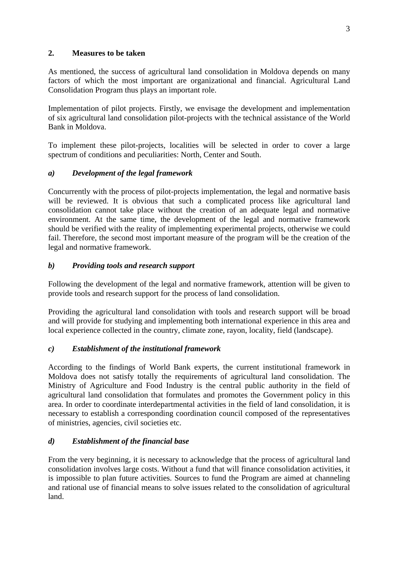### **2. Measures to be taken**

As mentioned, the success of agricultural land consolidation in Moldova depends on many factors of which the most important are organizational and financial. Agricultural Land Consolidation Program thus plays an important role.

Implementation of pilot projects. Firstly, we envisage the development and implementation of six agricultural land consolidation pilot-projects with the technical assistance of the World Bank in Moldova.

To implement these pilot-projects, localities will be selected in order to cover a large spectrum of conditions and peculiarities: North, Center and South.

# *a) Development of the legal framework*

Concurrently with the process of pilot-projects implementation, the legal and normative basis will be reviewed. It is obvious that such a complicated process like agricultural land consolidation cannot take place without the creation of an adequate legal and normative environment. At the same time, the development of the legal and normative framework should be verified with the reality of implementing experimental projects, otherwise we could fail. Therefore, the second most important measure of the program will be the creation of the legal and normative framework.

# *b) Providing tools and research support*

Following the development of the legal and normative framework, attention will be given to provide tools and research support for the process of land consolidation.

Providing the agricultural land consolidation with tools and research support will be broad and will provide for studying and implementing both international experience in this area and local experience collected in the country, climate zone, rayon, locality, field (landscape).

# *c) Establishment of the institutional framework*

According to the findings of World Bank experts, the current institutional framework in Moldova does not satisfy totally the requirements of agricultural land consolidation. The Ministry of Agriculture and Food Industry is the central public authority in the field of agricultural land consolidation that formulates and promotes the Government policy in this area. In order to coordinate interdepartmental activities in the field of land consolidation, it is necessary to establish a corresponding coordination council composed of the representatives of ministries, agencies, civil societies etc.

# *d) Establishment of the financial base*

From the very beginning, it is necessary to acknowledge that the process of agricultural land consolidation involves large costs. Without a fund that will finance consolidation activities, it is impossible to plan future activities. Sources to fund the Program are aimed at channeling and rational use of financial means to solve issues related to the consolidation of agricultural land.